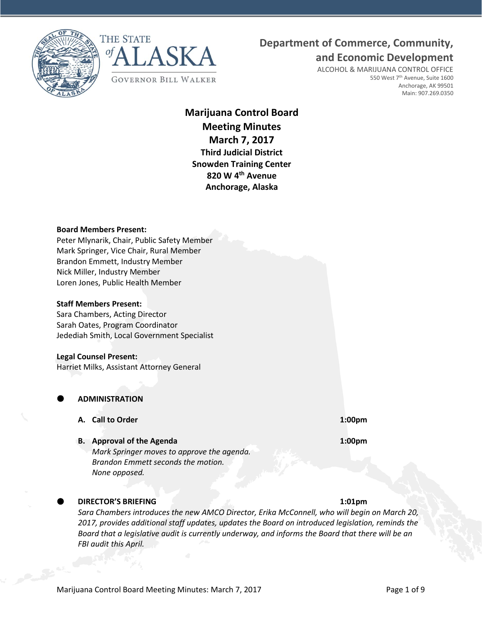



# **Department of Commerce, Community,**

**and Economic Development**

ALCOHOL & MARIJUANA CONTROL OFFICE 550 West 7<sup>th</sup> Avenue, Suite 1600 Anchorage, AK 99501 Main: 907.269.0350

# **Marijuana Control Board Meeting Minutes March 7, 2017 Third Judicial District Snowden Training Center 820 W 4th Avenue Anchorage, Alaska**

### **Board Members Present:**

Peter Mlynarik, Chair, Public Safety Member Mark Springer, Vice Chair, Rural Member Brandon Emmett, Industry Member Nick Miller, Industry Member Loren Jones, Public Health Member

### **Staff Members Present:**

Sara Chambers, Acting Director Sarah Oates, Program Coordinator Jedediah Smith, Local Government Specialist

### **Legal Counsel Present:**

Harriet Milks, Assistant Attorney General

**ADMINISTRATION**

- **A. Call to Order 1:00pm**
- **B. Approval of the Agenda 1:00pm**

*Mark Springer moves to approve the agenda. Brandon Emmett seconds the motion. None opposed.*

# **DIRECTOR'S BRIEFING 1:01pm**

*Sara Chambers introduces the new AMCO Director, Erika McConnell, who will begin on March 20, 2017, provides additional staff updates, updates the Board on introduced legislation, reminds the Board that a legislative audit is currently underway, and informs the Board that there will be an FBI audit this April.*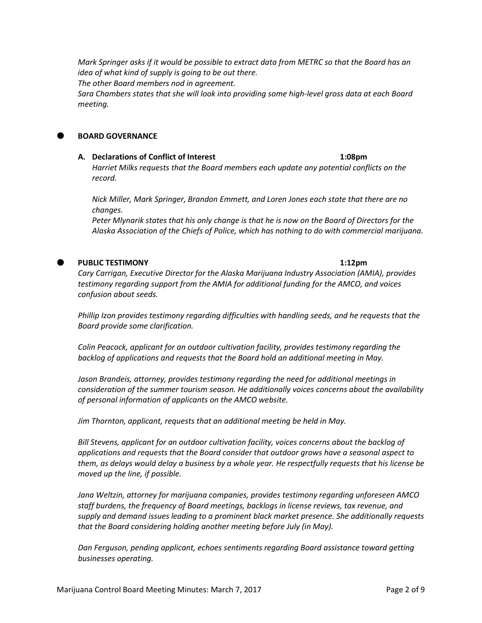*Mark Springer asks if it would be possible to extract data from METRC so that the Board has an idea of what kind of supply is going to be out there.*

*The other Board members nod in agreement.*

*Sara Chambers states that she will look into providing some high-level gross data at each Board meeting.*

## **BOARD GOVERNANCE**

**A. Declarations of Conflict of Interest 1:08pm** *Harriet Milks requests that the Board members each update any potential conflicts on the record.*

*Nick Miller, Mark Springer, Brandon Emmett, and Loren Jones each state that there are no changes.*

*Peter Mlynarik states that his only change is that he is now on the Board of Directors for the Alaska Association of the Chiefs of Police, which has nothing to do with commercial marijuana.*

# **PUBLIC TESTIMONY 1:12pm**

*Cary Carrigan, Executive Director for the Alaska Marijuana Industry Association (AMIA), provides testimony regarding support from the AMIA for additional funding for the AMCO, and voices confusion about seeds.*

*Phillip Izon provides testimony regarding difficulties with handling seeds, and he requests that the Board provide some clarification.*

*Colin Peacock, applicant for an outdoor cultivation facility, provides testimony regarding the backlog of applications and requests that the Board hold an additional meeting in May.*

*Jason Brandeis, attorney, provides testimony regarding the need for additional meetings in consideration of the summer tourism season. He additionally voices concerns about the availability of personal information of applicants on the AMCO website.*

*Jim Thornton, applicant, requests that an additional meeting be held in May.*

*Bill Stevens, applicant for an outdoor cultivation facility, voices concerns about the backlog of applications and requests that the Board consider that outdoor grows have a seasonal aspect to them, as delays would delay a business by a whole year. He respectfully requests that his license be moved up the line, if possible.*

*Jana Weltzin, attorney for marijuana companies, provides testimony regarding unforeseen AMCO staff burdens, the frequency of Board meetings, backlogs in license reviews, tax revenue, and supply and demand issues leading to a prominent black market presence. She additionally requests that the Board considering holding another meeting before July (in May).*

*Dan Ferguson, pending applicant, echoes sentiments regarding Board assistance toward getting businesses operating.*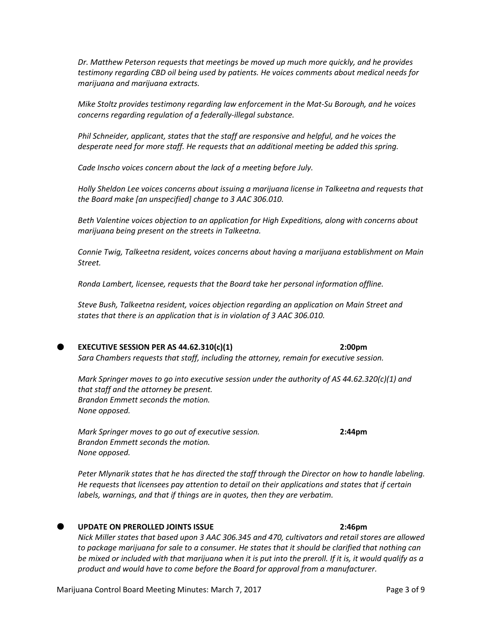*Dr. Matthew Peterson requests that meetings be moved up much more quickly, and he provides testimony regarding CBD oil being used by patients. He voices comments about medical needs for marijuana and marijuana extracts.*

*Mike Stoltz provides testimony regarding law enforcement in the Mat-Su Borough, and he voices concerns regarding regulation of a federally-illegal substance.*

*Phil Schneider, applicant, states that the staff are responsive and helpful, and he voices the desperate need for more staff. He requests that an additional meeting be added this spring.*

*Cade Inscho voices concern about the lack of a meeting before July.*

*Holly Sheldon Lee voices concerns about issuing a marijuana license in Talkeetna and requests that the Board make [an unspecified] change to 3 AAC 306.010.*

*Beth Valentine voices objection to an application for High Expeditions, along with concerns about marijuana being present on the streets in Talkeetna.*

*Connie Twig, Talkeetna resident, voices concerns about having a marijuana establishment on Main Street.*

*Ronda Lambert, licensee, requests that the Board take her personal information offline.*

*Steve Bush, Talkeetna resident, voices objection regarding an application on Main Street and states that there is an application that is in violation of 3 AAC 306.010.*

### **EXECUTIVE SESSION PER AS 44.62.310(c)(1) 2:00pm**

*Sara Chambers requests that staff, including the attorney, remain for executive session.*

*Mark Springer moves to go into executive session under the authority of AS 44.62.320(c)(1) and that staff and the attorney be present. Brandon Emmett seconds the motion. None opposed.*

*Mark Springer moves to go out of executive session.* **2:44pm** *Brandon Emmett seconds the motion. None opposed.*

*Peter Mlynarik states that he has directed the staff through the Director on how to handle labeling. He requests that licensees pay attention to detail on their applications and states that if certain labels, warnings, and that if things are in quotes, then they are verbatim.*

### **UPDATE ON PREROLLED JOINTS ISSUE 2:46pm**

*Nick Miller states that based upon 3 AAC 306.345 and 470, cultivators and retail stores are allowed to package marijuana for sale to a consumer. He states that it should be clarified that nothing can be mixed or included with that marijuana when it is put into the preroll. If it is, it would qualify as a product and would have to come before the Board for approval from a manufacturer.*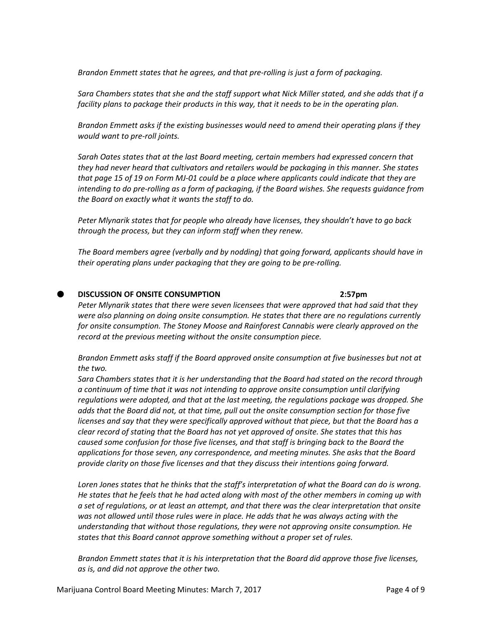*Brandon Emmett states that he agrees, and that pre-rolling is just a form of packaging.*

*Sara Chambers states that she and the staff support what Nick Miller stated, and she adds that if a facility plans to package their products in this way, that it needs to be in the operating plan.*

*Brandon Emmett asks if the existing businesses would need to amend their operating plans if they would want to pre-roll joints.*

*Sarah Oates states that at the last Board meeting, certain members had expressed concern that they had never heard that cultivators and retailers would be packaging in this manner. She states that page 15 of 19 on Form MJ-01 could be a place where applicants could indicate that they are intending to do pre-rolling as a form of packaging, if the Board wishes. She requests guidance from the Board on exactly what it wants the staff to do.*

*Peter Mlynarik states that for people who already have licenses, they shouldn't have to go back through the process, but they can inform staff when they renew.*

*The Board members agree (verbally and by nodding) that going forward, applicants should have in their operating plans under packaging that they are going to be pre-rolling.*

# **DISCUSSION OF ONSITE CONSUMPTION 2:57pm**

*Peter Mlynarik states that there were seven licensees that were approved that had said that they were also planning on doing onsite consumption. He states that there are no regulations currently for onsite consumption. The Stoney Moose and Rainforest Cannabis were clearly approved on the record at the previous meeting without the onsite consumption piece.*

*Brandon Emmett asks staff if the Board approved onsite consumption at five businesses but not at the two.*

*Sara Chambers states that it is her understanding that the Board had stated on the record through a continuum of time that it was not intending to approve onsite consumption until clarifying regulations were adopted, and that at the last meeting, the regulations package was dropped. She adds that the Board did not, at that time, pull out the onsite consumption section for those five licenses and say that they were specifically approved without that piece, but that the Board has a clear record of stating that the Board has not yet approved of onsite. She states that this has caused some confusion for those five licenses, and that staff is bringing back to the Board the applications for those seven, any correspondence, and meeting minutes. She asks that the Board provide clarity on those five licenses and that they discuss their intentions going forward.*

*Loren Jones states that he thinks that the staff's interpretation of what the Board can do is wrong. He states that he feels that he had acted along with most of the other members in coming up with a set of regulations, or at least an attempt, and that there was the clear interpretation that onsite was not allowed until those rules were in place. He adds that he was always acting with the understanding that without those regulations, they were not approving onsite consumption. He states that this Board cannot approve something without a proper set of rules.* 

*Brandon Emmett states that it is his interpretation that the Board did approve those five licenses, as is, and did not approve the other two.*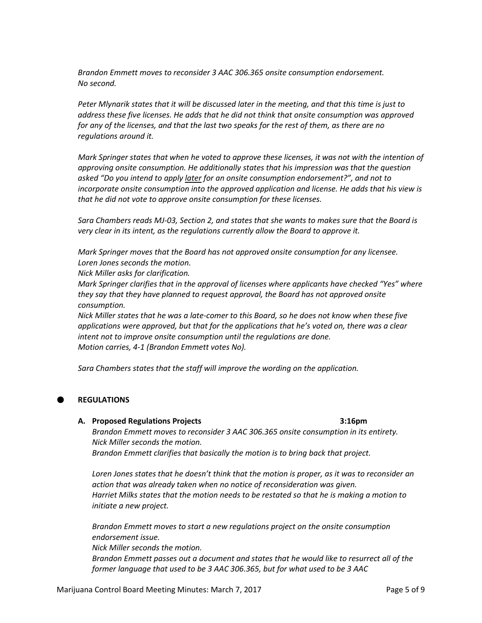*Brandon Emmett moves to reconsider 3 AAC 306.365 onsite consumption endorsement. No second.*

*Peter Mlynarik states that it will be discussed later in the meeting, and that this time is just to address these five licenses. He adds that he did not think that onsite consumption was approved for any of the licenses, and that the last two speaks for the rest of them, as there are no regulations around it.*

*Mark Springer states that when he voted to approve these licenses, it was not with the intention of approving onsite consumption. He additionally states that his impression was that the question asked "Do you intend to apply later for an onsite consumption endorsement?", and not to incorporate onsite consumption into the approved application and license. He adds that his view is that he did not vote to approve onsite consumption for these licenses.*

*Sara Chambers reads MJ-03, Section 2, and states that she wants to makes sure that the Board is very clear in its intent, as the regulations currently allow the Board to approve it.*

*Mark Springer moves that the Board has not approved onsite consumption for any licensee. Loren Jones seconds the motion.*

*Nick Miller asks for clarification.*

*Mark Springer clarifies that in the approval of licenses where applicants have checked "Yes" where they say that they have planned to request approval, the Board has not approved onsite consumption.*

*Nick Miller states that he was a late-comer to this Board, so he does not know when these five applications were approved, but that for the applications that he's voted on, there was a clear intent not to improve onsite consumption until the regulations are done. Motion carries, 4-1 (Brandon Emmett votes No).*

*Sara Chambers states that the staff will improve the wording on the application.*

# **REGULATIONS**

## **A. Proposed Regulations Projects 3:16pm**

*Brandon Emmett moves to reconsider 3 AAC 306.365 onsite consumption in its entirety. Nick Miller seconds the motion. Brandon Emmett clarifies that basically the motion is to bring back that project.*

*Loren Jones states that he doesn't think that the motion is proper, as it was to reconsider an action that was already taken when no notice of reconsideration was given. Harriet Milks states that the motion needs to be restated so that he is making a motion to initiate a new project.*

*Brandon Emmett moves to start a new regulations project on the onsite consumption endorsement issue. Nick Miller seconds the motion.*

*Brandon Emmett passes out a document and states that he would like to resurrect all of the former language that used to be 3 AAC 306.365, but for what used to be 3 AAC*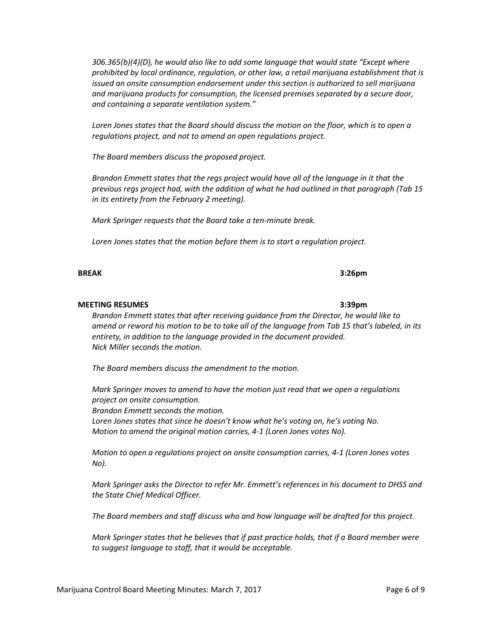*306.365(b)(4)(D), he would also like to add some language that would state "Except where prohibited by local ordinance, regulation, or other law, a retail marijuana establishment that is issued an onsite consumption endorsement under this section is authorized to sell marijuana and marijuana products for consumption, the licensed premises separated by a secure door, and containing a separate ventilation system."*

*Loren Jones states that the Board should discuss the motion on the floor, which is to open a regulations project, and not to amend an open regulations project.*

*The Board members discuss the proposed project.*

*Brandon Emmett states that the regs project would have all of the language in it that the previous regs project had, with the addition of what he had outlined in that paragraph (Tab 15 in its entirety from the February 2 meeting).*

*Mark Springer requests that the Board take a ten-minute break.*

*Loren Jones states that the motion before them is to start a regulation project.*

*Brandon Emmett states that after receiving guidance from the Director, he would like to amend or reword his motion to be to take all of the language from Tab 15 that's labeled, in its entirety, in addition to the language provided in the document provided. Nick Miller seconds the motion.*

*The Board members discuss the amendment to the motion.*

*Mark Springer moves to amend to have the motion just read that we open a regulations project on onsite consumption. Brandon Emmett seconds the motion. Loren Jones states that since he doesn't know what he's voting on, he's voting No. Motion to amend the original motion carries, 4-1 (Loren Jones votes No).*

*Motion to open a regulations project on onsite consumption carries, 4-1 (Loren Jones votes No).*

*Mark Springer asks the Director to refer Mr. Emmett's references in his document to DHSS and the State Chief Medical Officer.*

*The Board members and staff discuss who and how language will be drafted for this project.*

*Mark Springer states that he believes that if past practice holds, that if a Board member were to suggest language to staff, that it would be acceptable.*

# **BREAK 3:26pm**

# **MEETING RESUMES 3:39pm**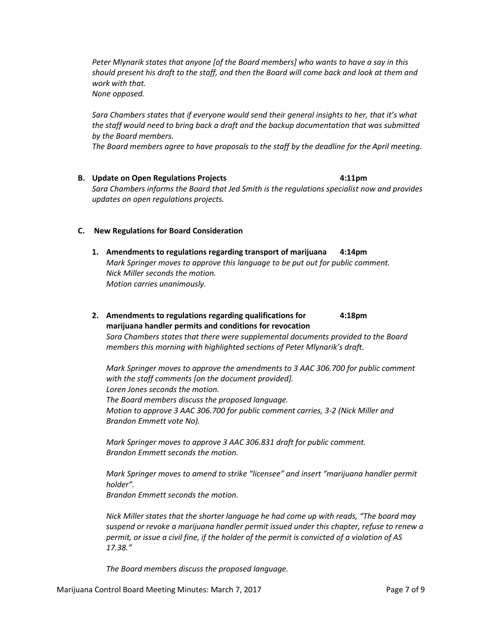*Peter Mlynarik states that anyone [of the Board members] who wants to have a say in this should present his draft to the staff, and then the Board will come back and look at them and work with that.*

*None opposed.*

*Sara Chambers states that if everyone would send their general insights to her, that it's what the staff would need to bring back a draft and the backup documentation that was submitted by the Board members.*

*The Board members agree to have proposals to the staff by the deadline for the April meeting.*

**B. Update on Open Regulations Projects 4:11pm** *Sara Chambers informs the Board that Jed Smith is the regulations specialist now and provides updates on open regulations projects.*

# **C. New Regulations for Board Consideration**

- **1. Amendments to regulations regarding transport of marijuana 4:14pm** *Mark Springer moves to approve this language to be put out for public comment. Nick Miller seconds the motion. Motion carries unanimously.*
- **2. Amendments to regulations regarding qualifications for 4:18pm marijuana handler permits and conditions for revocation** *Sara Chambers states that there were supplemental documents provided to the Board members this morning with highlighted sections of Peter Mlynarik's draft.*

*Mark Springer moves to approve the amendments to 3 AAC 306.700 for public comment with the staff comments [on the document provided]. Loren Jones seconds the motion. The Board members discuss the proposed language. Motion to approve 3 AAC 306.700 for public comment carries, 3-2 (Nick Miller and Brandon Emmett vote No).*

*Mark Springer moves to approve 3 AAC 306.831 draft for public comment. Brandon Emmett seconds the motion.*

*Mark Springer moves to amend to strike "licensee" and insert "marijuana handler permit holder".*

*Brandon Emmett seconds the motion.*

*Nick Miller states that the shorter language he had come up with reads, "The board may suspend or revoke a marijuana handler permit issued under this chapter, refuse to renew a permit, or issue a civil fine, if the holder of the permit is convicted of a violation of AS 17.38."*

*The Board members discuss the proposed language.*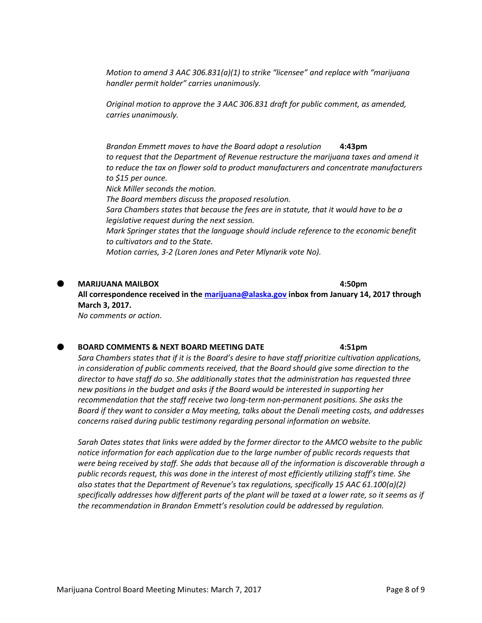*Motion to amend 3 AAC 306.831(a)(1) to strike "licensee" and replace with "marijuana handler permit holder" carries unanimously.*

*Original motion to approve the 3 AAC 306.831 draft for public comment, as amended, carries unanimously.*

*Brandon Emmett moves to have the Board adopt a resolution* **4:43pm** *to request that the Department of Revenue restructure the marijuana taxes and amend it to reduce the tax on flower sold to product manufacturers and concentrate manufacturers to \$15 per ounce. Nick Miller seconds the motion. The Board members discuss the proposed resolution. Sara Chambers states that because the fees are in statute, that it would have to be a legislative request during the next session. Mark Springer states that the language should include reference to the economic benefit to cultivators and to the State.*

*Motion carries, 3-2 (Loren Jones and Peter Mlynarik vote No).*

### **MARIJUANA MAILBOX 4:50pm**

**All correspondence received in the [marijuana@alaska.gov](mailto:marijuana@alaska.gov) inbox from January 14, 2017 through March 3, 2017.** *No comments or action.*

### **BOARD COMMENTS & NEXT BOARD MEETING DATE 4:51pm**

*Sara Chambers states that if it is the Board's desire to have staff prioritize cultivation applications, in consideration of public comments received, that the Board should give some direction to the director to have staff do so. She additionally states that the administration has requested three new positions in the budget and asks if the Board would be interested in supporting her recommendation that the staff receive two long-term non-permanent positions. She asks the Board if they want to consider a May meeting, talks about the Denali meeting costs, and addresses concerns raised during public testimony regarding personal information on website.*

*Sarah Oates states that links were added by the former director to the AMCO website to the public notice information for each application due to the large number of public records requests that were being received by staff. She adds that because all of the information is discoverable through a public records request, this was done in the interest of most efficiently utilizing staff's time. She also states that the Department of Revenue's tax regulations, specifically 15 AAC 61.100(a)(2) specifically addresses how different parts of the plant will be taxed at a lower rate, so it seems as if the recommendation in Brandon Emmett's resolution could be addressed by regulation.*